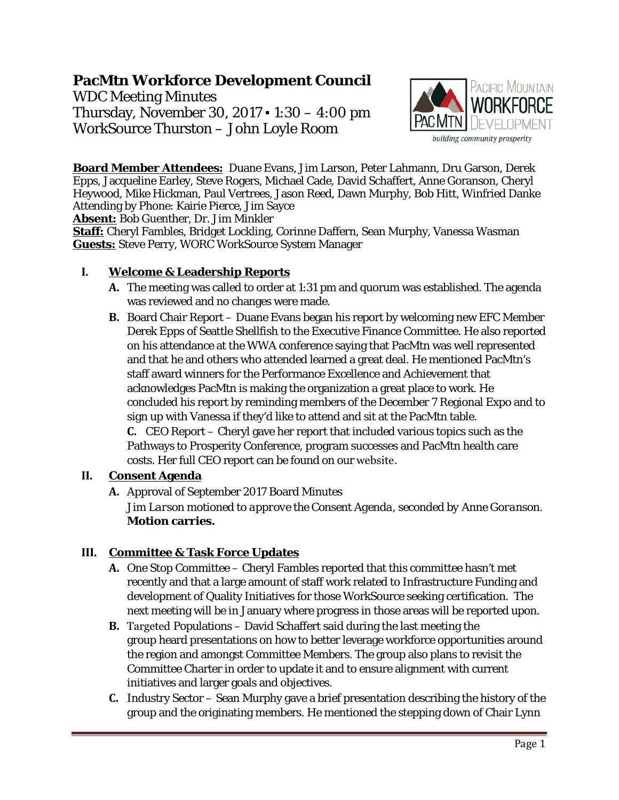# **PacMtn Workforce Development Council**

WDC Meeting Minutes Thursday, November 30, 2017 ▪ 1:30 – 4:00 pm WorkSource Thurston – John Loyle Room



**Board Member Attendees:** Duane Evans, Jim Larson, Peter Lahmann, Dru Garson, Derek Epps, Jacqueline Earley, Steve Rogers, Michael Cade, David Schaffert, Anne Goranson, Cheryl Heywood, Mike Hickman, Paul Vertrees, Jason Reed, Dawn Murphy, Bob Hitt, Winfried Danke Attending by Phone: Kairie Pierce, Jim Sayce

**Absent:** Bob Guenther, Dr. Jim Minkler

**Staff:** Cheryl Fambles, Bridget Lockling, Corinne Daffern, Sean Murphy, Vanessa Wasman **Guests:** Steve Perry, WORC WorkSource System Manager

## **I. Welcome & Leadership Reports**

- **A.** The meeting was called to order at 1:31 pm and quorum was established. The agenda was reviewed and no changes were made.
- **B.** Board Chair Report Duane Evans began his report by welcoming new EFC Member Derek Epps of Seattle Shellfish to the Executive Finance Committee. He also reported on his attendance at the WWA conference saying that PacMtn was well represented and that he and others who attended learned a great deal. He mentioned PacMtn's staff award winners for the Performance Excellence and Achievement that acknowledges PacMtn is making the organization a great place to work. He concluded his report by reminding members of the December 7 Regional Expo and to sign up with Vanessa if they'd like to attend and sit at the PacMtn table. **C.** CEO Report – Cheryl gave her report that included various topics such as the Pathways to Prosperity Conference, program successes and PacMtn health care costs. Her full CEO report can be found [on our](http://www.pacmtn.org/wp-content/uploads/CEO-Report-November-2017-Final-2.pdf) website.

### **II. Consent Agenda**

**A.** Approval of September 2017 Board Minutes

*Jim Larson motioned to approve the Consent Agenda, seconded by Anne Goranson.*  **Motion carries.**

## **III. Committee & Task Force Updates**

- **A.** One Stop Committee Cheryl Fambles reported that this committee hasn't met recently and that a large amount of staff work related to Infrastructure Funding and development of Quality Initiatives for those WorkSource seeking certification. The next meeting will be in January where progress in those areas will be reported upon.
- **B.** Targeted Populations David Schaffert said during the last meeting the group heard presentations on how to better leverage workforce opportunities around the region and amongst Committee Members. The group also plans to revisit the Committee Charter in order to update it and to ensure alignment with current initiatives and larger goals and objectives.
- **C.** Industry Sector Sean Murphy gave a brief presentation describing the history of the group and the originating members. He mentioned the stepping down of Chair Lynn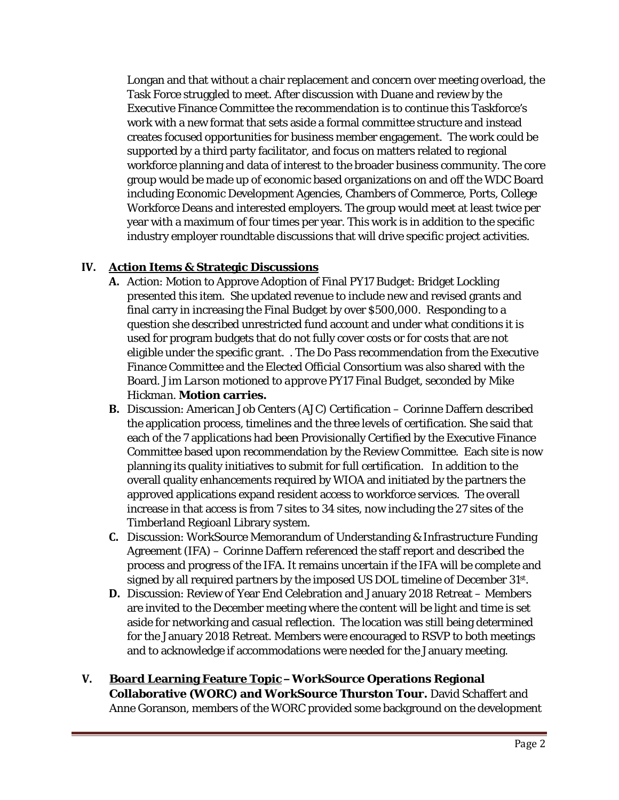Longan and that without a chair replacement and concern over meeting overload, the Task Force struggled to meet. After discussion with Duane and review by the Executive Finance Committee the recommendation is to continue this Taskforce's work with a new format that sets aside a formal committee structure and instead creates focused opportunities for business member engagement. The work could be supported by a third party facilitator, and focus on matters related to regional workforce planning and data of interest to the broader business community. The core group would be made up of economic based organizations on and off the WDC Board including Economic Development Agencies, Chambers of Commerce, Ports, College Workforce Deans and interested employers. The group would meet at least twice per year with a maximum of four times per year. This work is in addition to the specific industry employer roundtable discussions that will drive specific project activities.

## **IV. Action Items & Strategic Discussions**

- **A.** Action: Motion to Approve Adoption of Final PY17 Budget: Bridget Lockling presented this item. She updated revenue to include new and revised grants and final carry in increasing the Final Budget by over \$500,000. Responding to a question she described unrestricted fund account and under what conditions it is used for program budgets that do not fully cover costs or for costs that are not eligible under the specific grant. . The Do Pass recommendation from the Executive Finance Committee and the Elected Official Consortium was also shared with the Board. *Jim Larson motioned to approve PY17 Final Budget, seconded by Mike Hickman.* **Motion carries.**
- **B.** Discussion: American Job Centers (AJC) Certification Corinne Daffern described the application process, timelines and the three levels of certification. She said that each of the 7 applications had been Provisionally Certified by the Executive Finance Committee based upon recommendation by the Review Committee. Each site is now planning its quality initiatives to submit for full certification. In addition to the overall quality enhancements required by WIOA and initiated by the partners the approved applications expand resident access to workforce services. The overall increase in that access is from 7 sites to 34 sites, now including the 27 sites of the Timberland Regioanl Library system.
- **C.** Discussion: WorkSource Memorandum of Understanding & Infrastructure Funding Agreement (IFA) – Corinne Daffern referenced the staff report and described the process and progress of the IFA. It remains uncertain if the IFA will be complete and signed by all required partners by the imposed US DOL timeline of December 31st.
- **D.** Discussion: Review of Year End Celebration and January 2018 Retreat Members are invited to the December meeting where the content will be light and time is set aside for networking and casual reflection. The location was still being determined for the January 2018 Retreat. Members were encouraged to RSVP to both meetings and to acknowledge if accommodations were needed for the January meeting.
- **V. Board Learning Feature Topic – WorkSource Operations Regional Collaborative (WORC) and WorkSource Thurston Tour.** David Schaffert and Anne Goranson, members of the WORC provided some background on the development